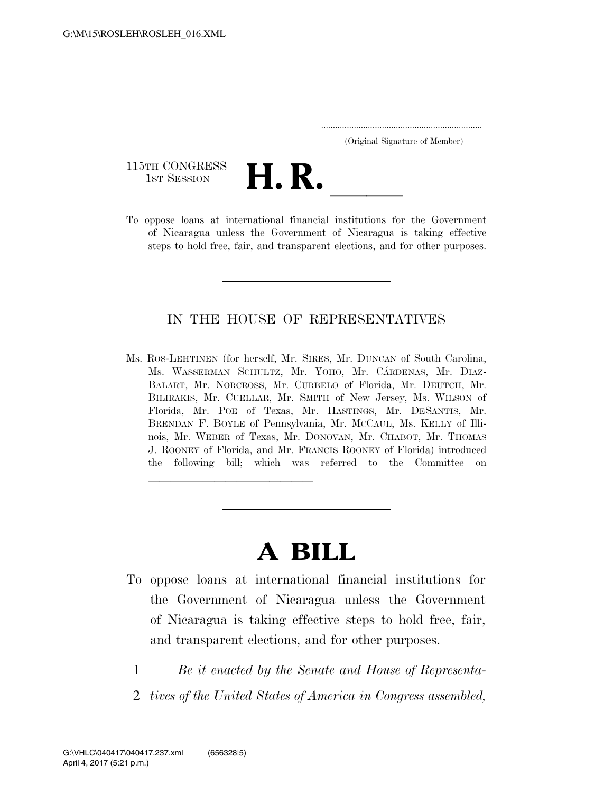| (Original Signature of Member) |  |
|--------------------------------|--|

115TH CONGRESS<br>1st Session



115TH CONGRESS<br>1st SESSION<br>To oppose loans at international financial institutions for the Government of Nicaragua unless the Government of Nicaragua is taking effective steps to hold free, fair, and transparent elections, and for other purposes.

# IN THE HOUSE OF REPRESENTATIVES

Ms. ROS-LEHTINEN (for herself, Mr. SIRES, Mr. DUNCAN of South Carolina, Ms. WASSERMAN SCHULTZ, Mr. YOHO, Mr. CÁRDENAS, Mr. DIAZ-BALART, Mr. NORCROSS, Mr. CURBELO of Florida, Mr. DEUTCH, Mr. BILIRAKIS, Mr. CUELLAR, Mr. SMITH of New Jersey, Ms. WILSON of Florida, Mr. POE of Texas, Mr. HASTINGS, Mr. DESANTIS, Mr. BRENDAN F. BOYLE of Pennsylvania, Mr. MCCAUL, Ms. KELLY of Illinois, Mr. WEBER of Texas, Mr. DONOVAN, Mr. CHABOT, Mr. THOMAS J. ROONEY of Florida, and Mr. FRANCIS ROONEY of Florida) introduced the following bill; which was referred to the Committee on

# **A BILL**

llland and a state of the state of the state of the state of the state of the state of the state of the state o

- To oppose loans at international financial institutions for the Government of Nicaragua unless the Government of Nicaragua is taking effective steps to hold free, fair, and transparent elections, and for other purposes.
	- 1 *Be it enacted by the Senate and House of Representa-*
	- 2 *tives of the United States of America in Congress assembled,*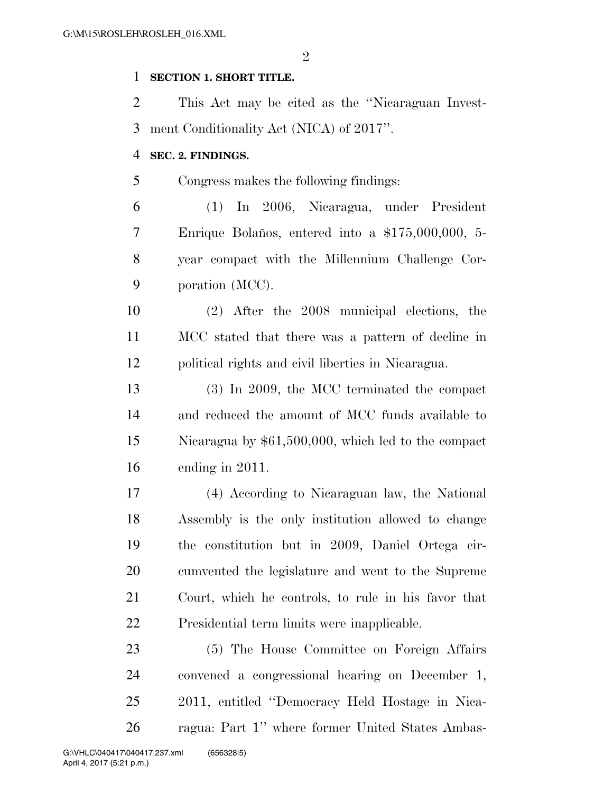$\mathfrak{D}$ 

## **SECTION 1. SHORT TITLE.**

 This Act may be cited as the ''Nicaraguan Invest-ment Conditionality Act (NICA) of 2017''.

#### **SEC. 2. FINDINGS.**

Congress makes the following findings:

 (1) In 2006, Nicaragua, under President 7 Enrique Bolaños, entered into a \$175,000,000, 5- year compact with the Millennium Challenge Cor-poration (MCC).

 (2) After the 2008 municipal elections, the MCC stated that there was a pattern of decline in political rights and civil liberties in Nicaragua.

 (3) In 2009, the MCC terminated the compact and reduced the amount of MCC funds available to Nicaragua by \$61,500,000, which led to the compact ending in 2011.

 (4) According to Nicaraguan law, the National Assembly is the only institution allowed to change the constitution but in 2009, Daniel Ortega cir- cumvented the legislature and went to the Supreme Court, which he controls, to rule in his favor that Presidential term limits were inapplicable.

 (5) The House Committee on Foreign Affairs convened a congressional hearing on December 1, 2011, entitled ''Democracy Held Hostage in Nica-ragua: Part 1'' where former United States Ambas-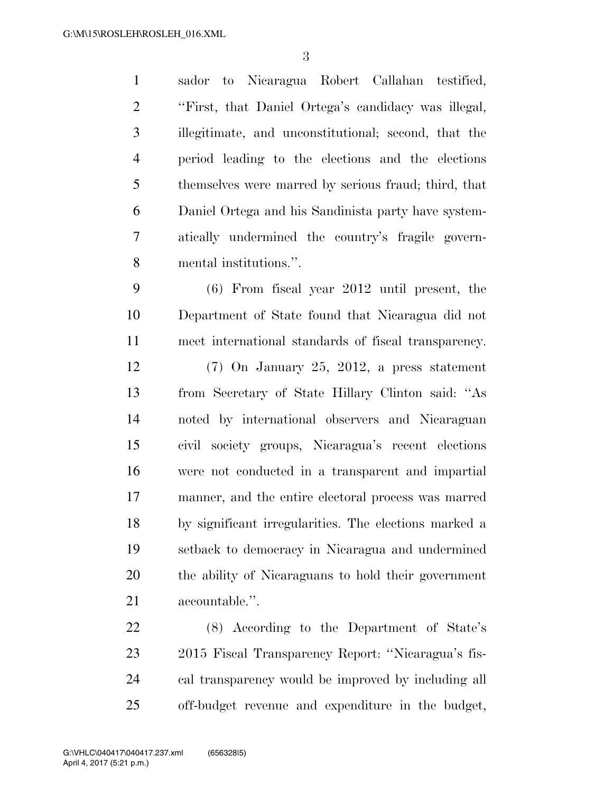sador to Nicaragua Robert Callahan testified, ''First, that Daniel Ortega's candidacy was illegal, illegitimate, and unconstitutional; second, that the period leading to the elections and the elections themselves were marred by serious fraud; third, that Daniel Ortega and his Sandinista party have system- atically undermined the country's fragile govern-mental institutions.''.

 (6) From fiscal year 2012 until present, the Department of State found that Nicaragua did not meet international standards of fiscal transparency. (7) On January 25, 2012, a press statement from Secretary of State Hillary Clinton said: ''As noted by international observers and Nicaraguan civil society groups, Nicaragua's recent elections were not conducted in a transparent and impartial manner, and the entire electoral process was marred by significant irregularities. The elections marked a setback to democracy in Nicaragua and undermined the ability of Nicaraguans to hold their government accountable.''.

 (8) According to the Department of State's 2015 Fiscal Transparency Report: ''Nicaragua's fis- cal transparency would be improved by including all off-budget revenue and expenditure in the budget,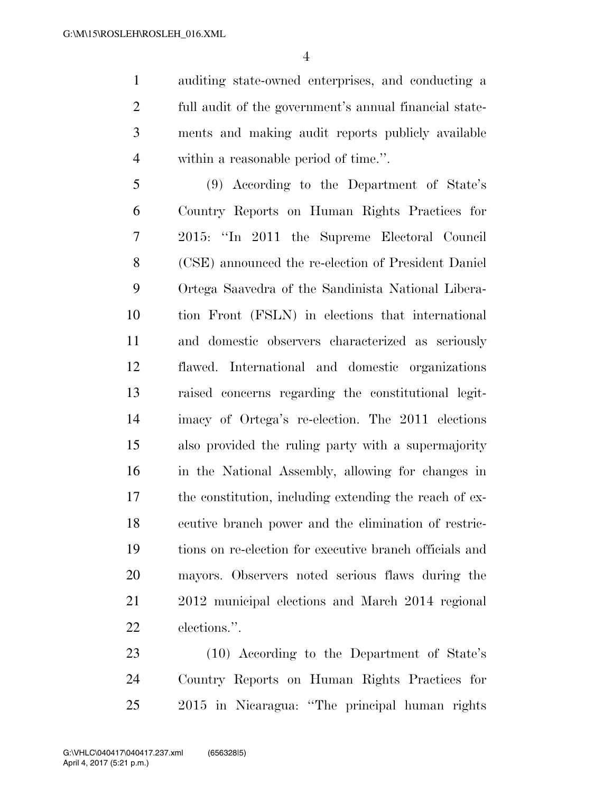auditing state-owned enterprises, and conducting a full audit of the government's annual financial state- ments and making audit reports publicly available within a reasonable period of time.''.

 (9) According to the Department of State's Country Reports on Human Rights Practices for 2015: ''In 2011 the Supreme Electoral Council (CSE) announced the re-election of President Daniel Ortega Saavedra of the Sandinista National Libera- tion Front (FSLN) in elections that international and domestic observers characterized as seriously flawed. International and domestic organizations raised concerns regarding the constitutional legit- imacy of Ortega's re-election. The 2011 elections also provided the ruling party with a supermajority in the National Assembly, allowing for changes in the constitution, including extending the reach of ex- ecutive branch power and the elimination of restric- tions on re-election for executive branch officials and mayors. Observers noted serious flaws during the 2012 municipal elections and March 2014 regional elections.''.

 (10) According to the Department of State's Country Reports on Human Rights Practices for 2015 in Nicaragua: ''The principal human rights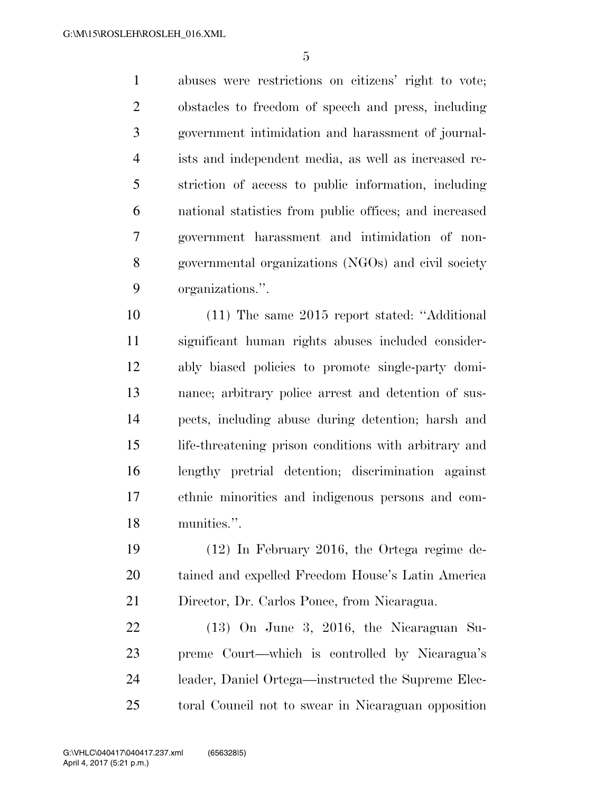abuses were restrictions on citizens' right to vote; obstacles to freedom of speech and press, including government intimidation and harassment of journal- ists and independent media, as well as increased re- striction of access to public information, including national statistics from public offices; and increased government harassment and intimidation of non- governmental organizations (NGOs) and civil society organizations.''.

 (11) The same 2015 report stated: ''Additional significant human rights abuses included consider- ably biased policies to promote single-party domi- nance; arbitrary police arrest and detention of sus- pects, including abuse during detention; harsh and life-threatening prison conditions with arbitrary and lengthy pretrial detention; discrimination against ethnic minorities and indigenous persons and com-munities.''.

 (12) In February 2016, the Ortega regime de- tained and expelled Freedom House's Latin America Director, Dr. Carlos Ponce, from Nicaragua.

 (13) On June 3, 2016, the Nicaraguan Su- preme Court—which is controlled by Nicaragua's leader, Daniel Ortega—instructed the Supreme Elec-toral Council not to swear in Nicaraguan opposition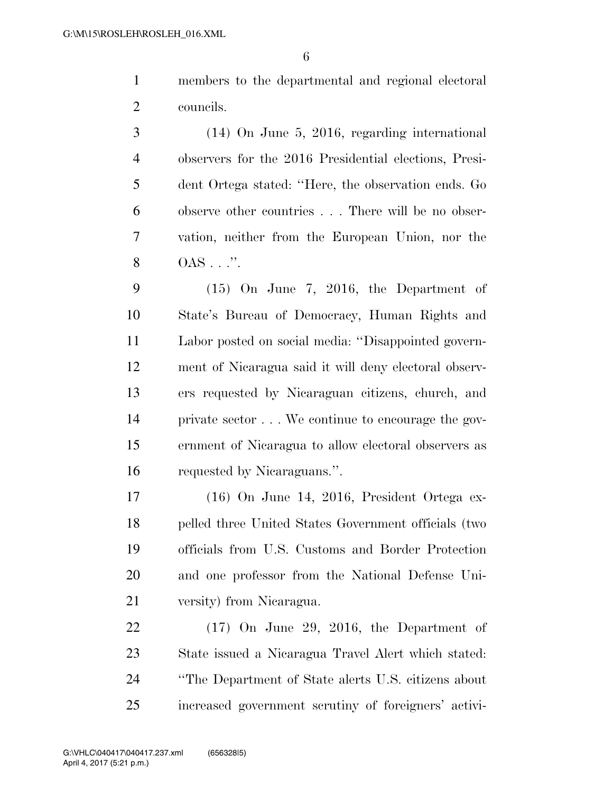members to the departmental and regional electoral councils.

 (14) On June 5, 2016, regarding international observers for the 2016 Presidential elections, Presi- dent Ortega stated: ''Here, the observation ends. Go observe other countries . . . There will be no obser- vation, neither from the European Union, nor the **OAS** . . . ".

 (15) On June 7, 2016, the Department of State's Bureau of Democracy, Human Rights and Labor posted on social media: ''Disappointed govern- ment of Nicaragua said it will deny electoral observ- ers requested by Nicaraguan citizens, church, and private sector . . . We continue to encourage the gov- ernment of Nicaragua to allow electoral observers as requested by Nicaraguans.''.

 (16) On June 14, 2016, President Ortega ex- pelled three United States Government officials (two officials from U.S. Customs and Border Protection and one professor from the National Defense Uni-versity) from Nicaragua.

 (17) On June 29, 2016, the Department of State issued a Nicaragua Travel Alert which stated: ''The Department of State alerts U.S. citizens about increased government scrutiny of foreigners' activi-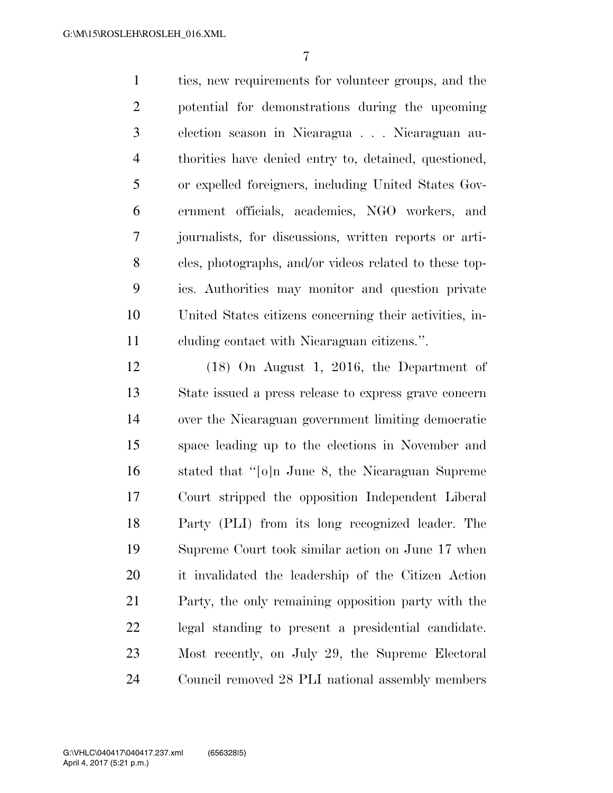ties, new requirements for volunteer groups, and the potential for demonstrations during the upcoming election season in Nicaragua . . . Nicaraguan au- thorities have denied entry to, detained, questioned, or expelled foreigners, including United States Gov- ernment officials, academics, NGO workers, and journalists, for discussions, written reports or arti- cles, photographs, and/or videos related to these top- ics. Authorities may monitor and question private United States citizens concerning their activities, in-cluding contact with Nicaraguan citizens.''.

 (18) On August 1, 2016, the Department of State issued a press release to express grave concern over the Nicaraguan government limiting democratic space leading up to the elections in November and stated that ''[o]n June 8, the Nicaraguan Supreme Court stripped the opposition Independent Liberal Party (PLI) from its long recognized leader. The Supreme Court took similar action on June 17 when it invalidated the leadership of the Citizen Action Party, the only remaining opposition party with the legal standing to present a presidential candidate. Most recently, on July 29, the Supreme Electoral Council removed 28 PLI national assembly members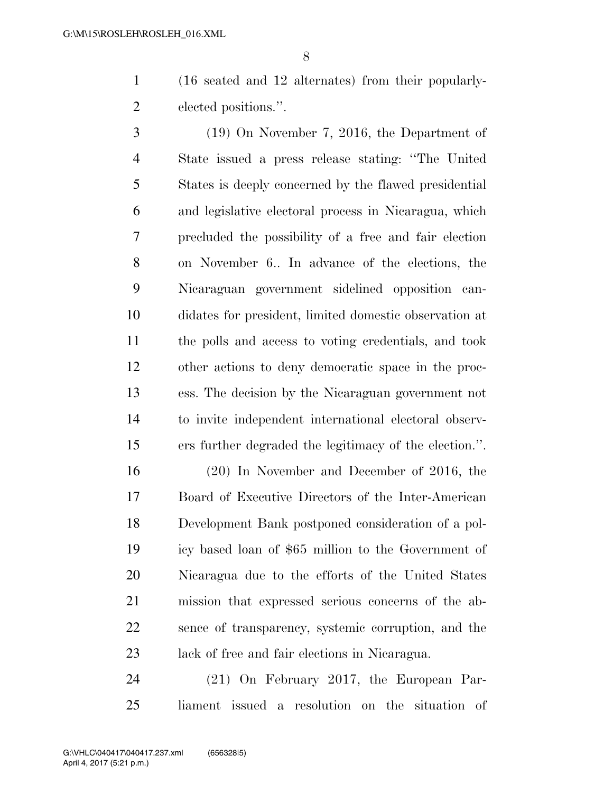(16 seated and 12 alternates) from their popularly-elected positions.''.

 (19) On November 7, 2016, the Department of State issued a press release stating: ''The United States is deeply concerned by the flawed presidential and legislative electoral process in Nicaragua, which precluded the possibility of a free and fair election on November 6.. In advance of the elections, the Nicaraguan government sidelined opposition can- didates for president, limited domestic observation at the polls and access to voting credentials, and took other actions to deny democratic space in the proc- ess. The decision by the Nicaraguan government not to invite independent international electoral observ-ers further degraded the legitimacy of the election.''.

 (20) In November and December of 2016, the Board of Executive Directors of the Inter-American Development Bank postponed consideration of a pol- icy based loan of \$65 million to the Government of Nicaragua due to the efforts of the United States mission that expressed serious concerns of the ab- sence of transparency, systemic corruption, and the lack of free and fair elections in Nicaragua.

 (21) On February 2017, the European Par-liament issued a resolution on the situation of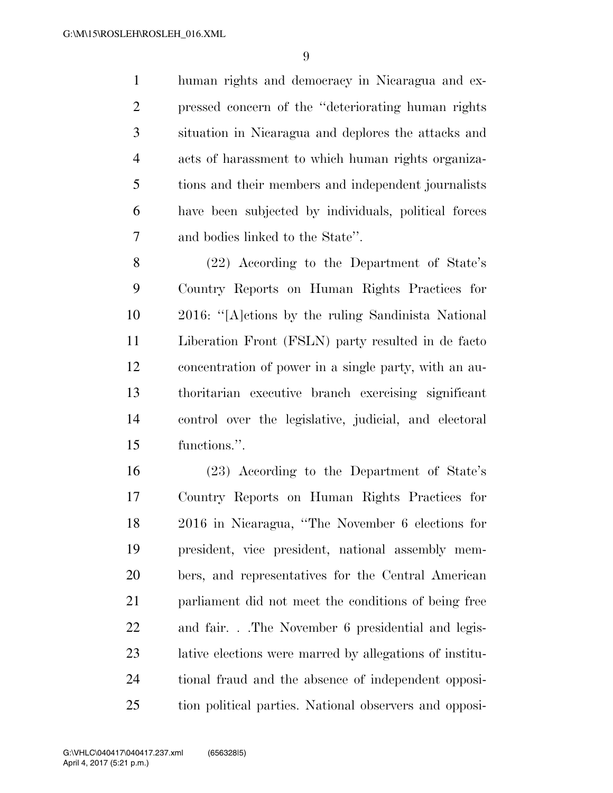human rights and democracy in Nicaragua and ex- pressed concern of the ''deteriorating human rights situation in Nicaragua and deplores the attacks and acts of harassment to which human rights organiza- tions and their members and independent journalists have been subjected by individuals, political forces and bodies linked to the State''.

 (22) According to the Department of State's Country Reports on Human Rights Practices for 2016: ''[A]ctions by the ruling Sandinista National Liberation Front (FSLN) party resulted in de facto concentration of power in a single party, with an au- thoritarian executive branch exercising significant control over the legislative, judicial, and electoral functions.''.

 (23) According to the Department of State's Country Reports on Human Rights Practices for 2016 in Nicaragua, ''The November 6 elections for president, vice president, national assembly mem- bers, and representatives for the Central American 21 parliament did not meet the conditions of being free and fair. . .The November 6 presidential and legis- lative elections were marred by allegations of institu- tional fraud and the absence of independent opposi-tion political parties. National observers and opposi-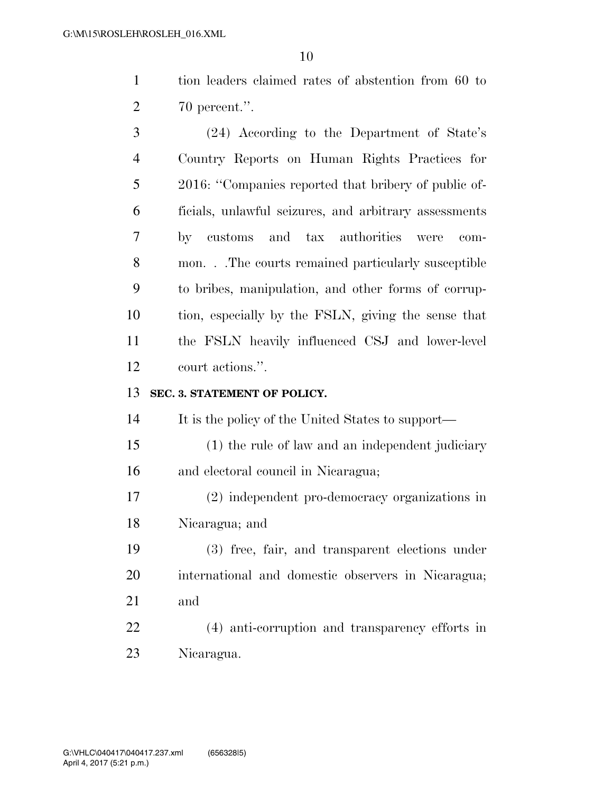tion leaders claimed rates of abstention from 60 to 70 percent.''.

 (24) According to the Department of State's Country Reports on Human Rights Practices for 2016: ''Companies reported that bribery of public of- ficials, unlawful seizures, and arbitrary assessments by customs and tax authorities were com- mon. . .The courts remained particularly susceptible to bribes, manipulation, and other forms of corrup- tion, especially by the FSLN, giving the sense that the FSLN heavily influenced CSJ and lower-level court actions.''.

# **SEC. 3. STATEMENT OF POLICY.**

It is the policy of the United States to support—

- (1) the rule of law and an independent judiciary and electoral council in Nicaragua;
- (2) independent pro-democracy organizations in Nicaragua; and
- (3) free, fair, and transparent elections under international and domestic observers in Nicaragua; and
- (4) anti-corruption and transparency efforts in Nicaragua.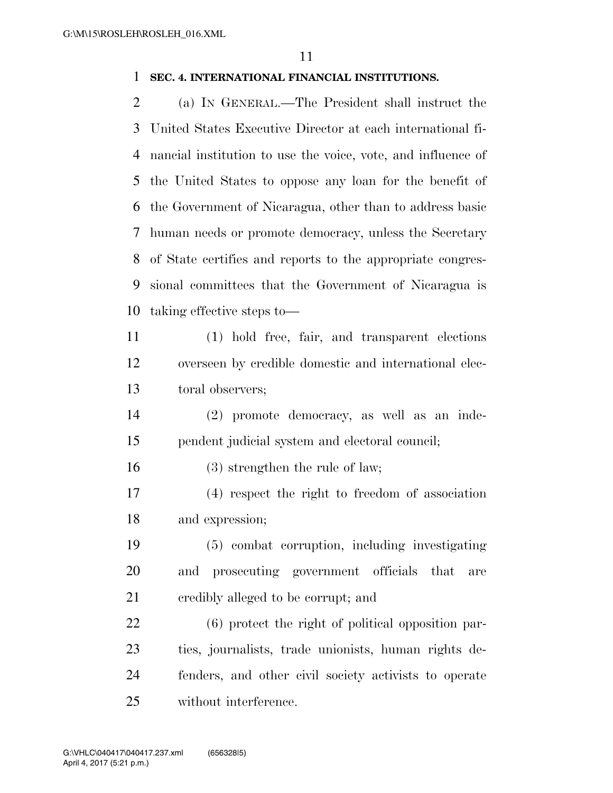### **SEC. 4. INTERNATIONAL FINANCIAL INSTITUTIONS.**

 (a) IN GENERAL.—The President shall instruct the United States Executive Director at each international fi- nancial institution to use the voice, vote, and influence of the United States to oppose any loan for the benefit of the Government of Nicaragua, other than to address basic human needs or promote democracy, unless the Secretary of State certifies and reports to the appropriate congres- sional committees that the Government of Nicaragua is taking effective steps to—

 (1) hold free, fair, and transparent elections overseen by credible domestic and international elec-toral observers;

 (2) promote democracy, as well as an inde-pendent judicial system and electoral council;

(3) strengthen the rule of law;

 (4) respect the right to freedom of association and expression;

 (5) combat corruption, including investigating and prosecuting government officials that are credibly alleged to be corrupt; and

 (6) protect the right of political opposition par- ties, journalists, trade unionists, human rights de- fenders, and other civil society activists to operate without interference.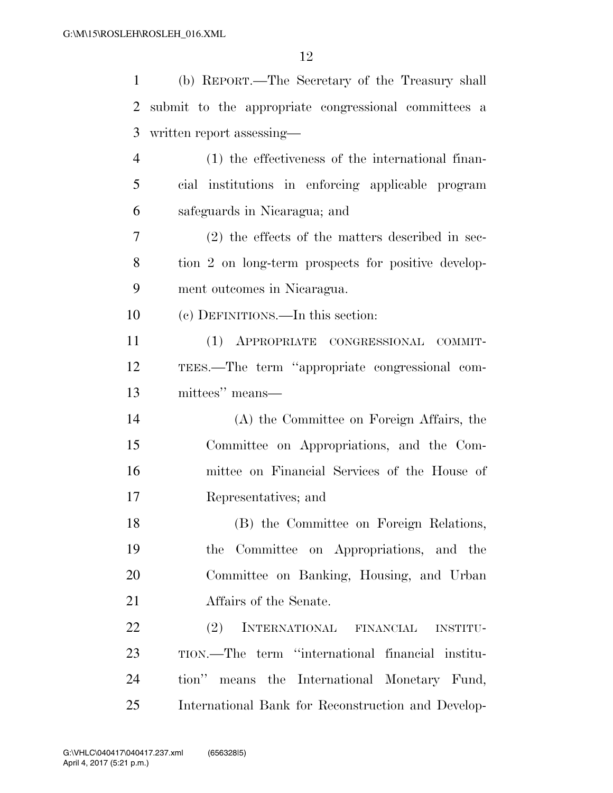| 1              | (b) REPORT.—The Secretary of the Treasury shall      |
|----------------|------------------------------------------------------|
| 2              | submit to the appropriate congressional committees a |
| 3              | written report assessing—                            |
| $\overline{4}$ | (1) the effectiveness of the international finan-    |
| 5              | cial institutions in enforcing applicable program    |
| 6              | safeguards in Nicaragua; and                         |
| 7              | $(2)$ the effects of the matters described in sec-   |
| 8              | tion 2 on long-term prospects for positive develop-  |
| 9              | ment outcomes in Nicaragua.                          |
| 10             | (c) DEFINITIONS.—In this section:                    |
| 11             | (1) APPROPRIATE CONGRESSIONAL COMMIT-                |
| 12             | TEES.—The term "appropriate congressional com-       |
| 13             | mittees" means—                                      |
| 14             | (A) the Committee on Foreign Affairs, the            |
| 15             | Committee on Appropriations, and the Com-            |
| 16             | mittee on Financial Services of the House of         |
| 17             | Representatives; and                                 |
| 18             | (B) the Committee on Foreign Relations,              |
| 19             | the Committee on Appropriations, and the             |
| 20             | Committee on Banking, Housing, and Urban             |
| 21             | Affairs of the Senate.                               |
| 22             | (2)<br>INTERNATIONAL FINANCIAL<br><b>INSTITU-</b>    |
| 23             | TION.—The term "international financial institu-     |
| 24             | tion"<br>means the International Monetary Fund,      |
| 25             | International Bank for Reconstruction and Develop-   |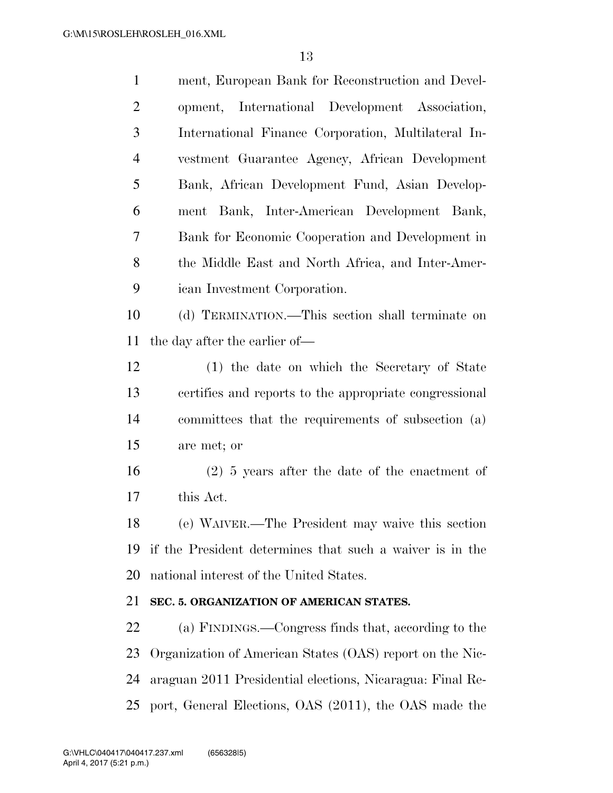| $\mathbf{1}$   | ment, European Bank for Reconstruction and Devel-         |
|----------------|-----------------------------------------------------------|
| $\overline{2}$ | opment, International Development Association,            |
| 3              | International Finance Corporation, Multilateral In-       |
| $\overline{4}$ | vestment Guarantee Agency, African Development            |
| 5              | Bank, African Development Fund, Asian Develop-            |
| 6              | ment Bank, Inter-American Development Bank,               |
| 7              | Bank for Economic Cooperation and Development in          |
| 8              | the Middle East and North Africa, and Inter-Amer-         |
| 9              | ican Investment Corporation.                              |
| 10             | (d) TERMINATION.—This section shall terminate on          |
| 11             | the day after the earlier of—                             |
| 12             | (1) the date on which the Secretary of State              |
| 13             | certifies and reports to the appropriate congressional    |
| 14             | committees that the requirements of subsection (a)        |
| 15             | are met; or                                               |
| 16             | $(2)$ 5 years after the date of the enactment of          |
| 17             | this Act.                                                 |
| 18             | (e) WAIVER.—The President may waive this section          |
| 19             | if the President determines that such a waiver is in the  |
| 20             | national interest of the United States.                   |
| 21             | SEC. 5. ORGANIZATION OF AMERICAN STATES.                  |
| 22             | (a) FINDINGS.—Congress finds that, according to the       |
| 23             | Organization of American States (OAS) report on the Nic-  |
| 24             | araguan 2011 Presidential elections, Nicaragua: Final Re- |
| 25             | port, General Elections, OAS (2011), the OAS made the     |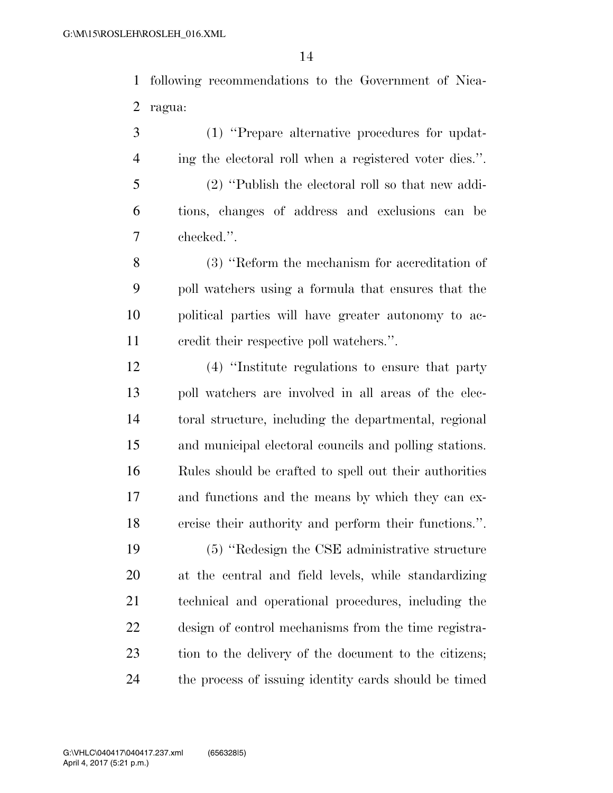following recommendations to the Government of Nica-ragua:

 (1) ''Prepare alternative procedures for updat- ing the electoral roll when a registered voter dies.''. (2) ''Publish the electoral roll so that new addi- tions, changes of address and exclusions can be checked.''.

 (3) ''Reform the mechanism for accreditation of poll watchers using a formula that ensures that the political parties will have greater autonomy to ac-credit their respective poll watchers.''.

 (4) ''Institute regulations to ensure that party poll watchers are involved in all areas of the elec- toral structure, including the departmental, regional and municipal electoral councils and polling stations. Rules should be crafted to spell out their authorities and functions and the means by which they can ex-ercise their authority and perform their functions.''.

 (5) ''Redesign the CSE administrative structure at the central and field levels, while standardizing technical and operational procedures, including the design of control mechanisms from the time registra- tion to the delivery of the document to the citizens; the process of issuing identity cards should be timed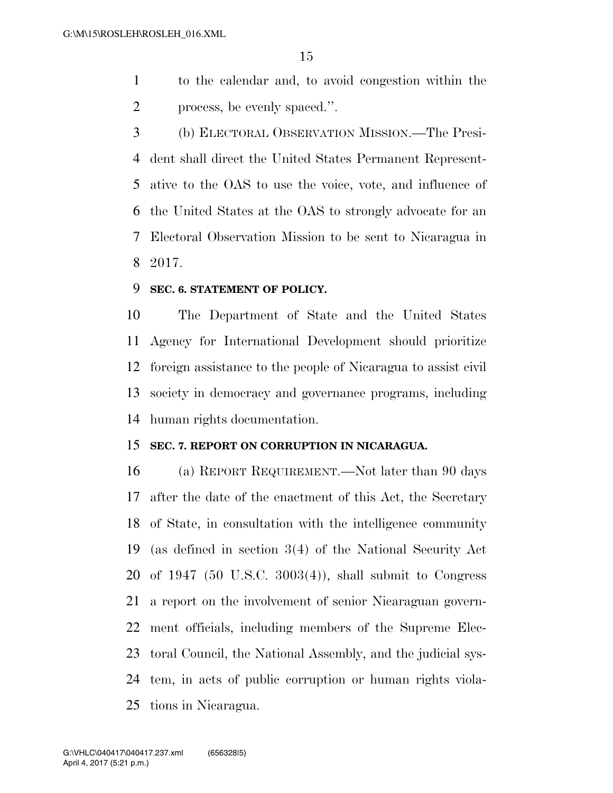- to the calendar and, to avoid congestion within the process, be evenly spaced.''.
- (b) ELECTORAL OBSERVATION MISSION.—The Presi- dent shall direct the United States Permanent Represent- ative to the OAS to use the voice, vote, and influence of the United States at the OAS to strongly advocate for an Electoral Observation Mission to be sent to Nicaragua in 2017.

### **SEC. 6. STATEMENT OF POLICY.**

 The Department of State and the United States Agency for International Development should prioritize foreign assistance to the people of Nicaragua to assist civil society in democracy and governance programs, including human rights documentation.

## **SEC. 7. REPORT ON CORRUPTION IN NICARAGUA.**

 (a) REPORT REQUIREMENT.—Not later than 90 days after the date of the enactment of this Act, the Secretary of State, in consultation with the intelligence community (as defined in section 3(4) of the National Security Act of 1947 (50 U.S.C. 3003(4)), shall submit to Congress a report on the involvement of senior Nicaraguan govern- ment officials, including members of the Supreme Elec- toral Council, the National Assembly, and the judicial sys- tem, in acts of public corruption or human rights viola-tions in Nicaragua.